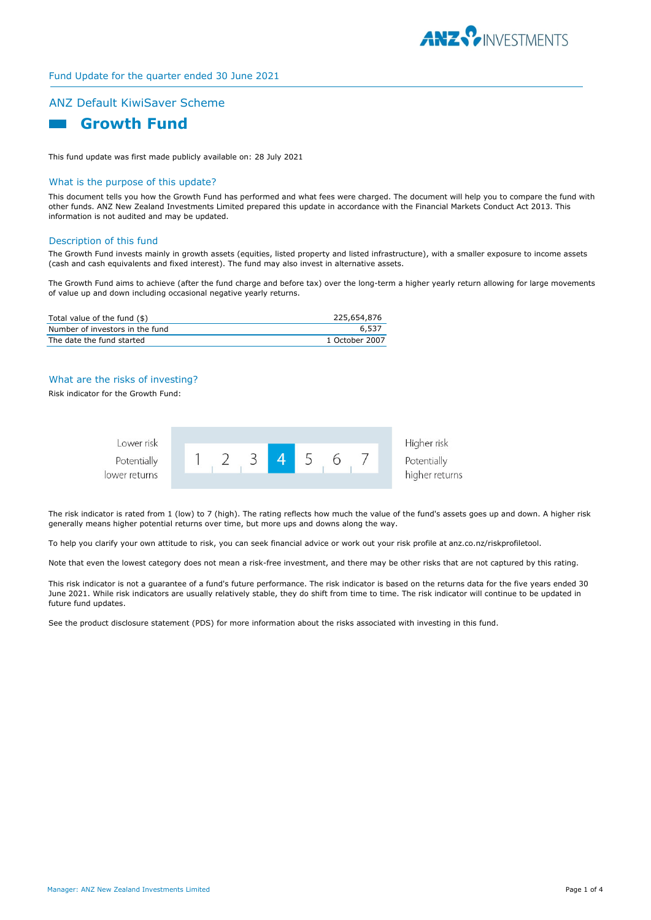

## Fund Update for the quarter ended 30 June 2021

# ANZ Default KiwiSaver Scheme



This fund update was first made publicly available on: 28 July 2021

#### What is the purpose of this update?

This document tells you how the Growth Fund has performed and what fees were charged. The document will help you to compare the fund with other funds. ANZ New Zealand Investments Limited prepared this update in accordance with the Financial Markets Conduct Act 2013. This information is not audited and may be updated.

## Description of this fund

The Growth Fund invests mainly in growth assets (equities, listed property and listed infrastructure), with a smaller exposure to income assets (cash and cash equivalents and fixed interest). The fund may also invest in alternative assets.

The Growth Fund aims to achieve (after the fund charge and before tax) over the long-term a higher yearly return allowing for large movements of value up and down including occasional negative yearly returns.

| Total value of the fund (\$)    | 225,654,876    |
|---------------------------------|----------------|
| Number of investors in the fund | 6,537          |
| The date the fund started       | 1 October 2007 |

## What are the risks of investing?

Risk indicator for the Growth Fund:



The risk indicator is rated from 1 (low) to 7 (high). The rating reflects how much the value of the fund's assets goes up and down. A higher risk generally means higher potential returns over time, but more ups and downs along the way.

To help you clarify your own attitude to risk, you can seek financial advice or work out your risk profile at anz.co.nz/riskprofiletool.

Note that even the lowest category does not mean a risk-free investment, and there may be other risks that are not captured by this rating.

This risk indicator is not a guarantee of a fund's future performance. The risk indicator is based on the returns data for the five years ended 30 June 2021. While risk indicators are usually relatively stable, they do shift from time to time. The risk indicator will continue to be updated in future fund updates.

See the product disclosure statement (PDS) for more information about the risks associated with investing in this fund.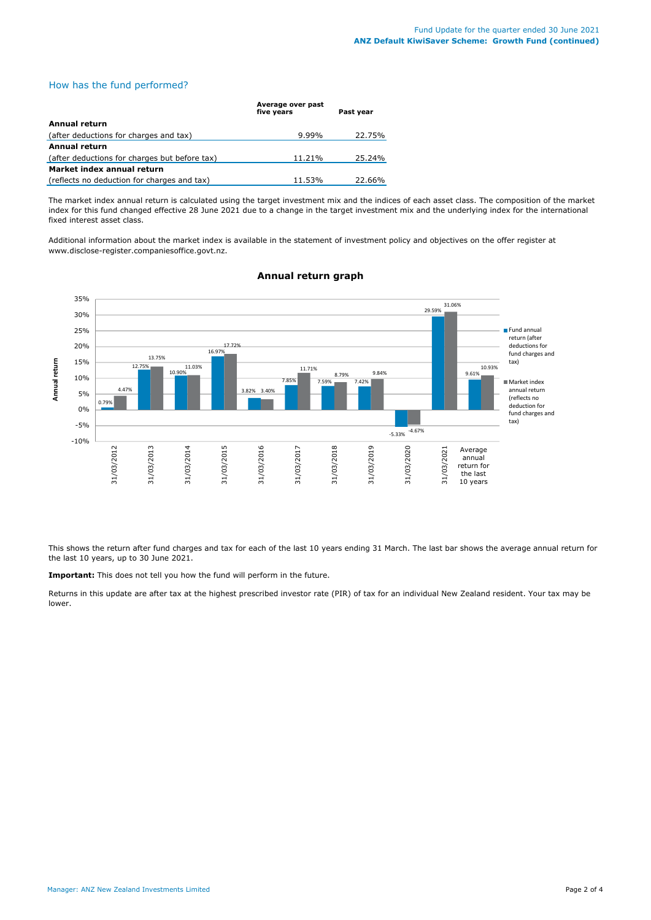## How has the fund performed?

|                                               | Average over past<br>five years | Past year |
|-----------------------------------------------|---------------------------------|-----------|
| <b>Annual return</b>                          |                                 |           |
| (after deductions for charges and tax)        | $9.99\%$                        | 22.75%    |
| Annual return                                 |                                 |           |
| (after deductions for charges but before tax) | 11.21%                          | 25.24%    |
| Market index annual return                    |                                 |           |
| (reflects no deduction for charges and tax)   | 11.53%                          | 22.66%    |

The market index annual return is calculated using the target investment mix and the indices of each asset class. The composition of the market index for this fund changed effective 28 June 2021 due to a change in the target investment mix and the underlying index for the international fixed interest asset class.

Additional information about the market index is available in the statement of investment policy and objectives on the offer register at www.disclose-register.companiesoffice.govt.nz.



## **Annual return graph**

This shows the return after fund charges and tax for each of the last 10 years ending 31 March. The last bar shows the average annual return for the last 10 years, up to 30 June 2021.

**Important:** This does not tell you how the fund will perform in the future.

Returns in this update are after tax at the highest prescribed investor rate (PIR) of tax for an individual New Zealand resident. Your tax may be lower.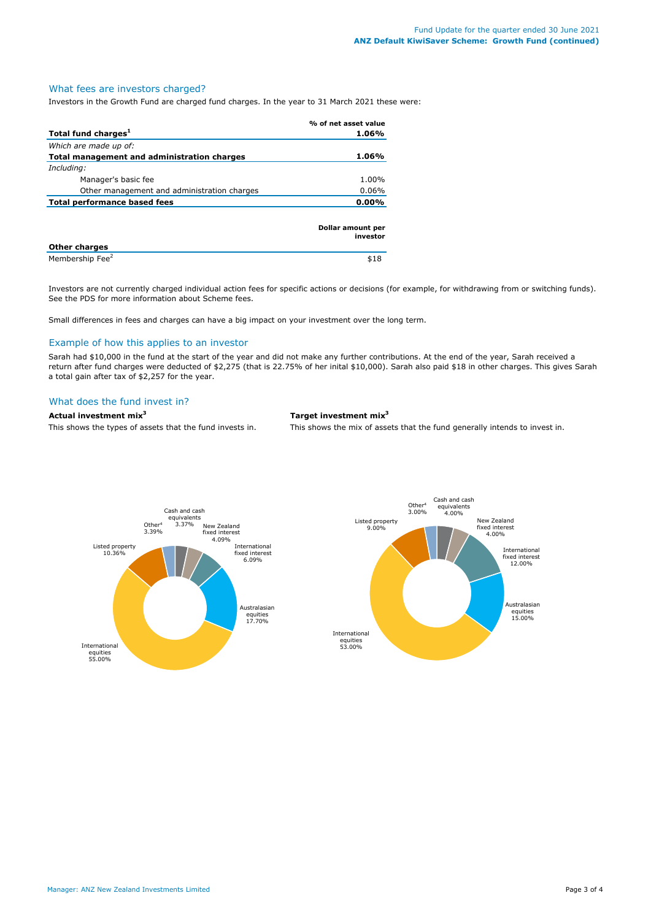## What fees are investors charged?

Investors in the Growth Fund are charged fund charges. In the year to 31 March 2021 these were:

|                                             | % of net asset value          |
|---------------------------------------------|-------------------------------|
| Total fund charges <sup>1</sup>             | 1.06%                         |
| Which are made up of:                       |                               |
| Total management and administration charges | 1.06%                         |
| Including:                                  |                               |
| Manager's basic fee                         | 1.00%                         |
| Other management and administration charges | $0.06\%$                      |
| <b>Total performance based fees</b>         | $0.00\%$                      |
|                                             | Dollar amount per<br>investor |
| <b>Other charges</b>                        |                               |
| Membership Fee <sup>2</sup>                 | \$18                          |

Investors are not currently charged individual action fees for specific actions or decisions (for example, for withdrawing from or switching funds). See the PDS for more information about Scheme fees.

Small differences in fees and charges can have a big impact on your investment over the long term.

#### Example of how this applies to an investor

Sarah had \$10,000 in the fund at the start of the year and did not make any further contributions. At the end of the year, Sarah received a return after fund charges were deducted of \$2,275 (that is 22.75% of her inital \$10,000). Sarah also paid \$18 in other charges. This gives Sarah a total gain after tax of \$2,257 for the year.

## What does the fund invest in?

#### **Actual investment mix3 Target investment mix3**

This shows the types of assets that the fund invests in. This shows the mix of assets that the fund generally intends to invest in.